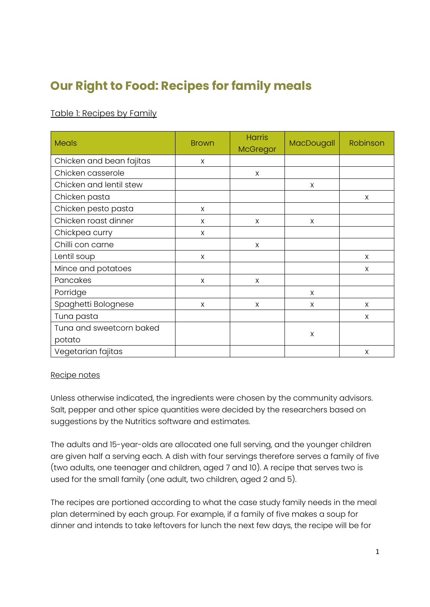# **Our Right to Food: Recipes for family meals**

# Table 1: Recipes by Family

| <b>Meals</b>             | <b>Brown</b> | <b>Harris</b><br>McGregor | MacDougall | Robinson |
|--------------------------|--------------|---------------------------|------------|----------|
| Chicken and bean fajitas | X            |                           |            |          |
| Chicken casserole        |              | X                         |            |          |
| Chicken and lentil stew  |              |                           | X          |          |
| Chicken pasta            |              |                           |            | X        |
| Chicken pesto pasta      | X            |                           |            |          |
| Chicken roast dinner     | X            | X                         | X          |          |
| Chickpea curry           | X            |                           |            |          |
| Chilli con carne         |              | X                         |            |          |
| Lentil soup              | X            |                           |            | X        |
| Mince and potatoes       |              |                           |            | X        |
| Pancakes                 | X            | X                         |            |          |
| Porridge                 |              |                           | X          |          |
| Spaghetti Bolognese      | X            | X                         | X          | X        |
| Tuna pasta               |              |                           |            | X        |
| Tuna and sweetcorn baked |              |                           |            |          |
| potato                   |              |                           | X          |          |
| Vegetarian fajitas       |              |                           |            | X        |

### Recipe notes

Unless otherwise indicated, the ingredients were chosen by the community advisors. Salt, pepper and other spice quantities were decided by the researchers based on suggestions by the Nutritics software and estimates.

The adults and 15-year-olds are allocated one full serving, and the younger children are given half a serving each. A dish with four servings therefore serves a family of five (two adults, one teenager and children, aged 7 and 10). A recipe that serves two is used for the small family (one adult, two children, aged 2 and 5).

The recipes are portioned according to what the case study family needs in the meal plan determined by each group. For example, if a family of five makes a soup for dinner and intends to take leftovers for lunch the next few days, the recipe will be for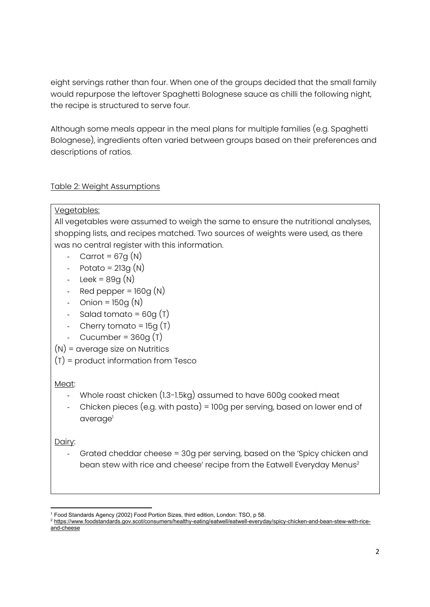eight servings rather than four. When one of the groups decided that the small family would repurpose the leftover Spaghetti Bolognese sauce as chilli the following night, the recipe is structured to serve four.

Although some meals appear in the meal plans for multiple families (e.g. Spaghetti Bolognese), ingredients often varied between groups based on their preferences and descriptions of ratios.

### Table 2: Weight Assumptions

### Vegetables:

All vegetables were assumed to weigh the same to ensure the nutritional analyses, shopping lists, and recipes matched. Two sources of weights were used, as there was no central register with this information.

- Carrot =  $67q(N)$
- Potato =  $213q(N)$
- Leek =  $89g(N)$
- $Red$  pepper =  $160q(N)$
- Onion =  $150g(N)$
- Salad tomato =  $60q(T)$
- Cherry tomato =  $15q(T)$
- Cucumber =  $360q(T)$
- (N) = average size on Nutritics
- (T) = product information from Tesco

## Meat:

- Whole roast chicken (1.3-1.5kg) assumed to have 600g cooked meat
- Chicken pieces (e.g. with pasta) = 100g per serving, based on lower end of average<sup>1</sup>

## Dairy:

- Grated cheddar cheese = 30g per serving, based on the 'Spicy chicken and bean stew with rice and cheese' recipe from the Eatwell Everyday Menus<sup>2</sup>

<sup>&</sup>lt;sup>1</sup> Food Standards Agency (2002) Food Portion Sizes, third edition, London: TSO, p 58.

<sup>2</sup> https://www.foodstandards.gov.scot/consumers/healthy-eating/eatwell/eatwell-everyday/spicy-chicken-and-bean-stew-with-riceand-cheese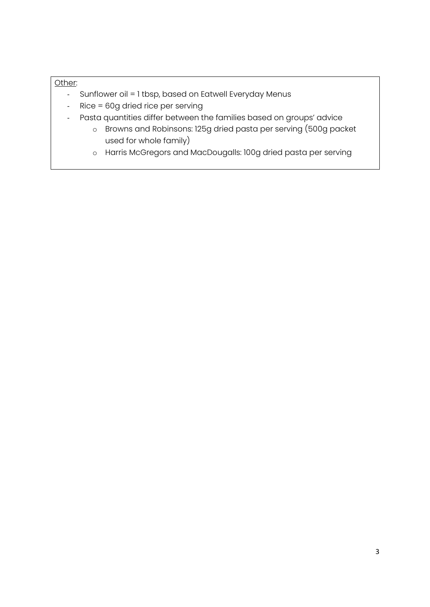#### Other:

- Sunflower oil = 1 tbsp, based on Eatwell Everyday Menus
- Rice = 60g dried rice per serving
- Pasta quantities differ between the families based on groups' advice
	- o Browns and Robinsons: 125g dried pasta per serving (500g packet used for whole family)
	- o Harris McGregors and MacDougalls: 100g dried pasta per serving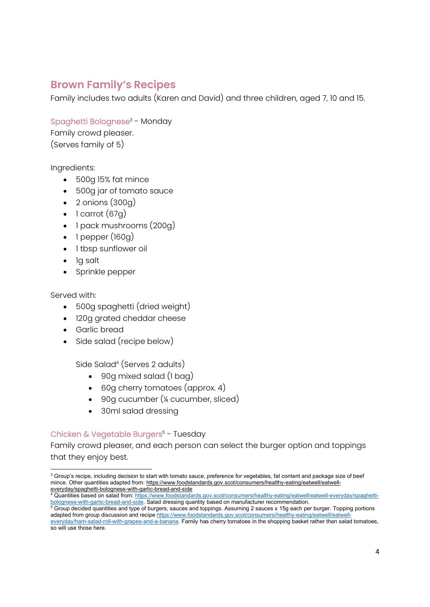# **Brown Family's Recipes**

Family includes two adults (Karen and David) and three children, aged 7, 10 and 15.

### Spaghetti Bolognese3 - Monday

Family crowd pleaser. (Serves family of 5)

### Ingredients:

- 500g 15% fat mince
- 500g jar of tomato sauce
- $\bullet$  2 onions (300g)
- $\bullet$  1 carrot (67g)
- 1 pack mushrooms (200g)
- $\bullet$  1 pepper (160g)
- 1 tbsp sunflower oil
- 1g salt
- Sprinkle pepper

Served with:

- 500g spaghetti (dried weight)
- 120g grated cheddar cheese
- Garlic bread
- Side salad (recipe below)

Side Salad4 (Serves 2 adults)

- 90g mixed salad (1 bag)
- 60g cherry tomatoes (approx. 4)
- 90g cucumber (¼ cucumber, sliced)
- 30ml salad dressing

### Chicken & Vegetable Burgers<sup>5</sup> - Tuesday

Family crowd pleaser, and each person can select the burger option and toppings that they enjoy best.

<sup>&</sup>lt;sup>3</sup> Group's recipe, including decision to start with tomato sauce, preference for vegetables, fat content and package size of beef mince. Other quantities adapted from: https://www.foodstandards.gov.scot/consumers/healthy-eating/eatwell/eatwelleveryday/spaghetti-bolognese-with-garlic-bread-and-side

<sup>4</sup> Quantities based on salad from: https://www.foodstandards.gov.scot/consumers/healthy-eating/eatwell/eatwell-everyday/spaghettibolognese-with-garlic-bread-and-side. Salad dressing quantity based on manufacturer recommendation.

 $5$  Group decided quantities and type of burgers, sauces and toppings. Assuming 2 sauces x 15g each per burger. Topping portions adapted from group discussion and recipe https://www.foodstandards.gov.scot/consumers/healthy-eating/eatwell/eatwell

everyday/ham-salad-roll-with-grapes-and-a-banana. Family has cherry tomatoes in the shopping basket rather than salad tomatoes, so will use those here.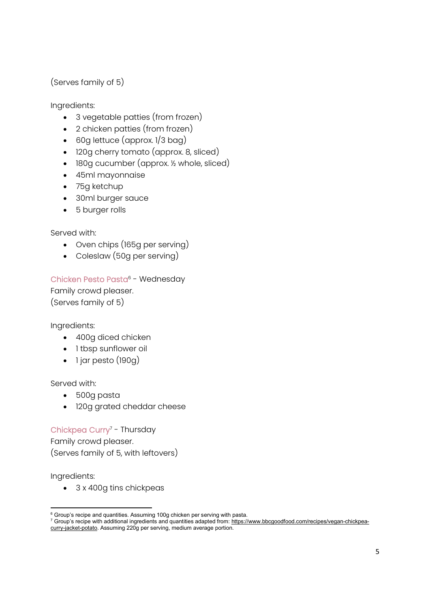(Serves family of 5)

Ingredients:

- 3 vegetable patties (from frozen)
- 2 chicken patties (from frozen)
- 60g lettuce (approx. 1/3 bag)
- 120g cherry tomato (approx. 8, sliced)
- 180g cucumber (approx. ½ whole, sliced)
- 45ml mayonnaise
- 75g ketchup
- 30ml burger sauce
- 5 burger rolls

Served with:

- Oven chips (165g per serving)
- Coleslaw (50g per serving)

Chicken Pesto Pasta<sup>6</sup> - Wednesday

Family crowd pleaser. (Serves family of 5)

Ingredients:

- 400g diced chicken
- I tbsp sunflower oil
- $\bullet$  1 jar pesto (190g)

Served with:

- 500g pasta
- 120g grated cheddar cheese

Chickpea Curry<sup>7</sup> - Thursday Family crowd pleaser.

(Serves family of 5, with leftovers)

Ingredients:

• 3 x 400q tins chickpeas

 $^6$  Group's recipe and quantities. Assuming 100g chicken per serving with pasta.

 $^7$  Group's recipe with additional ingredients and quantities adapted from: <u>https://www.bbcgoodfood.com/recipes/vegan-chickpea-</u> curry-jacket-potato. Assuming 220g per serving, medium average portion.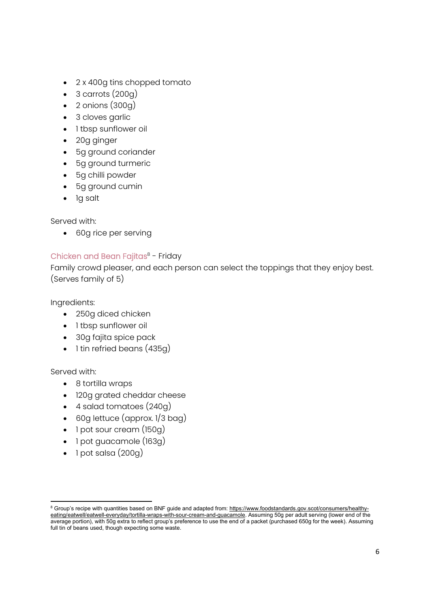- 2 x 400g tins chopped tomato
- $\bullet$  3 carrots (200g)
- $\bullet$  2 onions  $(300g)$
- 3 cloves garlic
- 1 tbsp sunflower oil
- 20g ginger
- 5g ground coriander
- 5g ground turmeric
- 5g chilli powder
- 5g ground cumin
- Ig salt

Served with:

60g rice per serving

### Chicken and Bean Fajitas<sup>8</sup> - Friday

Family crowd pleaser, and each person can select the toppings that they enjoy best. (Serves family of 5)

Ingredients:

- 250g diced chicken
- 1 tbsp sunflower oil
- 30g fajita spice pack
- 1 tin refried beans (435g)

- 8 tortilla wraps
- 120g grated cheddar cheese
- 4 salad tomatoes (240g)
- 60g lettuce (approx. 1/3 bag)
- 1 pot sour cream (150g)
- 1 pot guacamole (163g)
- $\bullet$  1 pot salsa (200g)

<sup>&</sup>lt;sup>8</sup> Group's recipe with quantities based on BNF guide and adapted from: https://www.foodstandards.gov.scot/consumers/healthyeating/eatwell/eatwell-everyday/tortilla-wraps-with-sour-cream-and-guacamole. Assuming 50g per adult serving (lower end of the average portion), with 50g extra to reflect group's preference to use the end of a packet (purchased 650g for the week). Assuming full tin of beans used, though expecting some waste.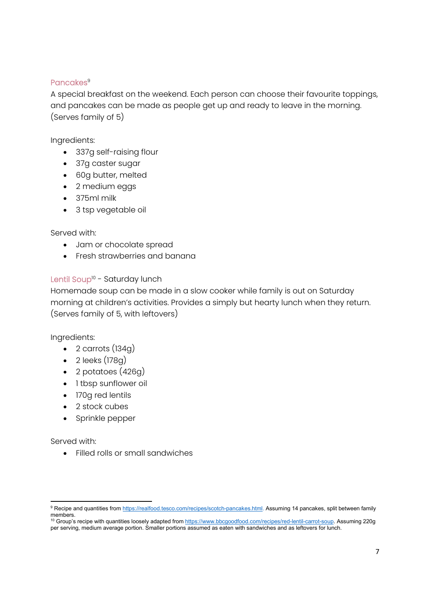### Pancakes<sup>9</sup>

A special breakfast on the weekend. Each person can choose their favourite toppings, and pancakes can be made as people get up and ready to leave in the morning. (Serves family of 5)

Ingredients:

- 337g self-raising flour
- 37g caster sugar
- 60g butter, melted
- 2 medium eggs
- 375ml milk
- 3 tsp vegetable oil

#### Served with:

- Jam or chocolate spread
- Fresh strawberries and banana

### Lentil Soup<sup>10</sup> - Saturday lunch

Homemade soup can be made in a slow cooker while family is out on Saturday morning at children's activities. Provides a simply but hearty lunch when they return. (Serves family of 5, with leftovers)

Ingredients:

- $\bullet$  2 carrots (134g)
- $\bullet$  2 leeks (178g)
- $\bullet$  2 potatoes (426g)
- I tbsp sunflower oil
- 170g red lentils
- 2 stock cubes
- Sprinkle pepper

Served with:

Filled rolls or small sandwiches

<sup>&</sup>lt;sup>9</sup> Recipe and quantities from https://realfood.tesco.com/recipes/scotch-pancakes.html. Assuming 14 pancakes, split between family members.

<sup>&</sup>lt;sup>10</sup> Group's recipe with quantities loosely adapted from https://www.bbcgoodfood.com/recipes/red-lentil-carrot-soup. Assuming 220g per serving, medium average portion. Smaller portions assumed as eaten with sandwiches and as leftovers for lunch.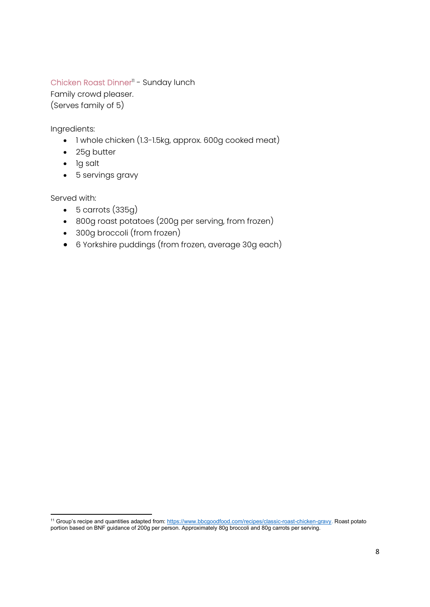### Chicken Roast Dinner<sup>11</sup> - Sunday lunch

Family crowd pleaser.

(Serves family of 5)

Ingredients:

- 1 whole chicken (1.3-1.5kg, approx. 600g cooked meat)
- 25g butter
- 1g salt
- 5 servings gravy

- $-5$  carrots  $(335q)$
- 800g roast potatoes (200g per serving, from frozen)
- 300g broccoli (from frozen)
- 6 Yorkshire puddings (from frozen, average 30g each)

<sup>&</sup>lt;sup>11</sup> Group's recipe and quantities adapted from: https://www.bbcgoodfood.com/recipes/classic-roast-chicken-gravy. Roast potato portion based on BNF guidance of 200g per person. Approximately 80g broccoli and 80g carrots per serving.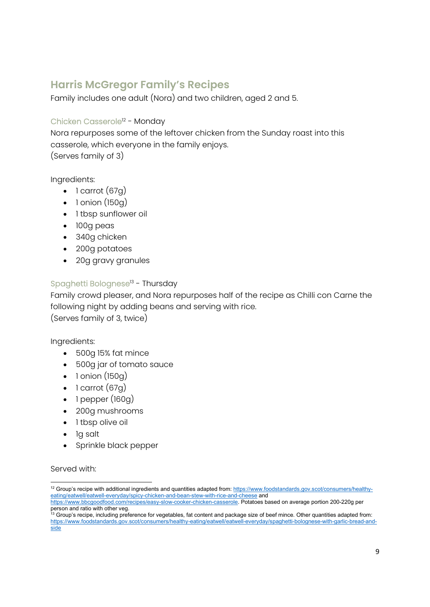# **Harris McGregor Family's Recipes**

Family includes one adult (Nora) and two children, aged 2 and 5.

### Chicken Casserole<sup>12</sup> - Monday

Nora repurposes some of the leftover chicken from the Sunday roast into this casserole, which everyone in the family enjoys. (Serves family of 3)

Ingredients:

- $\bullet$  1 carrot (67g)
- $\bullet$  1 onion (150g)
- 1 tbsp sunflower oil
- 100g peas
- 340g chicken
- 200g potatoes
- 20g gravy granules

## Spaghetti Bolognese<sup>13</sup> - Thursday

Family crowd pleaser, and Nora repurposes half of the recipe as Chilli con Carne the following night by adding beans and serving with rice.

(Serves family of 3, twice)

Ingredients:

- 500g 15% fat mince
- 500g jar of tomato sauce
- $\bullet$  1 onion (150g)
- $\bullet$  1 carrot (67g)
- $\bullet$  1 pepper (160g)
- 200g mushrooms
- 1 tbsp olive oil
- Ig salt
- Sprinkle black pepper

<sup>&</sup>lt;sup>12</sup> Group's recipe with additional ingredients and quantities adapted from: https://www.foodstandards.gov.scot/consumers/healthyeating/eatwell/eatwell-everyday/spicy-chicken-and-bean-stew-with-rice-and-cheese and

https://www.bbcgoodfood.com/recipes/easy-slow-cooker-chicken-casserole. Potatoes based on average portion 200-220g per person and ratio with other veg.

<sup>&</sup>lt;sup>13</sup> Group's recipe, including preference for vegetables, fat content and package size of beef mince. Other quantities adapted from: https://www.foodstandards.gov.scot/consumers/healthy-eating/eatwell/eatwell-everyday/spaghetti-bolognese-with-garlic-bread-andside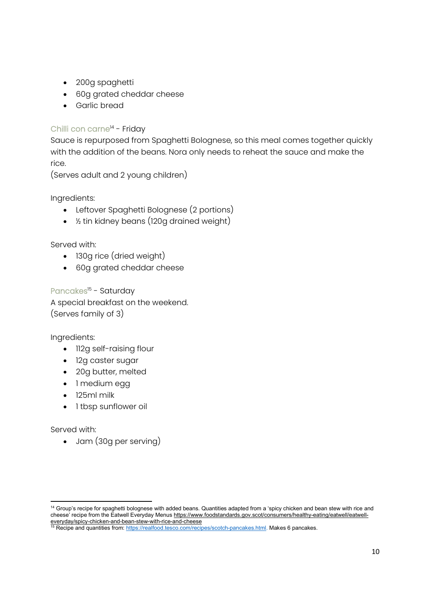- 200g spaghetti
- 60g grated cheddar cheese
- Garlic bread

# Chilli con carne<sup>14</sup> - Friday

Sauce is repurposed from Spaghetti Bolognese, so this meal comes together quickly with the addition of the beans. Nora only needs to reheat the sauce and make the rice.

(Serves adult and 2 young children)

Ingredients:

- Leftover Spaghetti Bolognese (2 portions)
- ½ tin kidney beans (120g drained weight)

Served with:

- 130g rice (dried weight)
- 60g grated cheddar cheese

Pancakes<sup>15</sup> - Saturday A special breakfast on the weekend. (Serves family of 3)

Ingredients:

- 112g self-raising flour
- 12g caster sugar
- 20g butter, melted
- 1 medium egg
- 125ml milk
- 1 tbsp sunflower oil

Served with:

Jam (30g per serving)

<sup>&</sup>lt;sup>14</sup> Group's recipe for spaghetti bolognese with added beans. Quantities adapted from a 'spicy chicken and bean stew with rice and cheese' recipe from the Eatwell Everyday Menus https://www.foodstandards.gov.scot/consumers/healthy-eating/eatwell/eatwelleveryday/spicy-chicken-and-bean-stew-with-rice-and-cheese

<sup>&</sup>lt;sup>15</sup> Recipe and quantities from: https://realfood.tesco.com/recipes/scotch-pancakes.html. Makes 6 pancakes.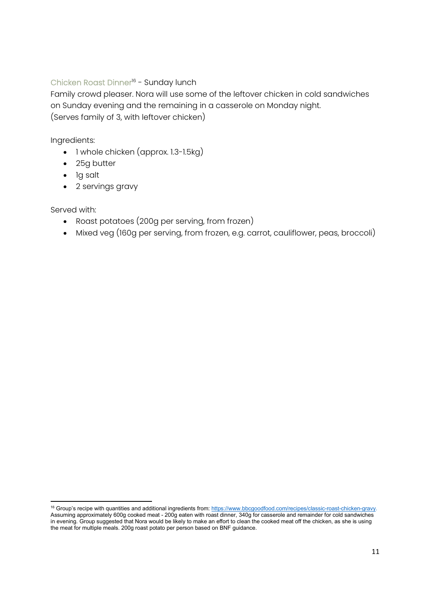### Chicken Roast Dinner<sup>16</sup> - Sunday lunch

Family crowd pleaser. Nora will use some of the leftover chicken in cold sandwiches on Sunday evening and the remaining in a casserole on Monday night. (Serves family of 3, with leftover chicken)

Ingredients:

- 1 whole chicken (approx. 1.3-1.5kg)
- 25g butter
- 1g salt
- 2 servings gravy

- Roast potatoes (200g per serving, from frozen)
- Mixed veg (160g per serving, from frozen, e.g. carrot, cauliflower, peas, broccoli)

<sup>&</sup>lt;sup>16</sup> Group's recipe with quantities and additional ingredients from: https://www.bbcgoodfood.com/recipes/classic-roast-chicken-gravy. Assuming approximately 600g cooked meat - 200g eaten with roast dinner, 340g for casserole and remainder for cold sandwiches in evening. Group suggested that Nora would be likely to make an effort to clean the cooked meat off the chicken, as she is using the meat for multiple meals. 200g roast potato per person based on BNF guidance.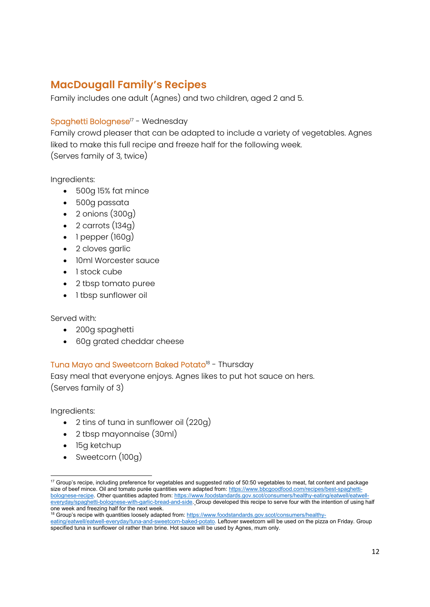# **MacDougall Family's Recipes**

Family includes one adult (Agnes) and two children, aged 2 and 5.

### Spaghetti Bolognese<sup>17</sup> - Wednesday

Family crowd pleaser that can be adapted to include a variety of vegetables. Agnes liked to make this full recipe and freeze half for the following week. (Serves family of 3, twice)

Ingredients:

- 500g 15% fat mince
- 500g passata
- $\bullet$  2 onions (300g)
- $\bullet$  2 carrots (134g)
- $\bullet$  1 pepper (160g)
- 2 cloves garlic
- 10ml Worcester sauce
- 1 stock cube
- 2 tbsp tomato puree
- 1 tbsp sunflower oil

Served with:

- 200g spaghetti
- 60g grated cheddar cheese

#### Tuna Mayo and Sweetcorn Baked Potato<sup>18</sup> - Thursday

Easy meal that everyone enjoys. Agnes likes to put hot sauce on hers. (Serves family of 3)

Ingredients:

- 2 tins of tuna in sunflower oil (220g)
- 2 tbsp mayonnaise (30ml)
- 15g ketchup
- Sweetcorn (100g)

<sup>&</sup>lt;sup>17</sup> Group's recipe, including preference for vegetables and suggested ratio of 50:50 vegetables to meat, fat content and package size of beef mince. Oil and tomato purée quantities were adapted from: https://www.bbcgoodfood.com/recipes/best-spaghettibolognese-recipe. Other quantities adapted from: https://www.foodstandards.gov.scot/consumers/healthy-eating/eatwell/eatwell everyday/spaghetti-bolognese-with-garlic-bread-and-side. Group developed this recipe to serve four with the intention of using half one week and freezing half for the next week.

<sup>&</sup>lt;sup>18</sup> Group's recipe with quantities loosely adapted from: https://www.foodstandards.gov.scot/consumers/healthy-

eating/eatwell/eatwell-everyday/tuna-and-sweetcorn-baked-potato. Leftover sweetcorn will be used on the pizza on Friday. Group specified tuna in sunflower oil rather than brine. Hot sauce will be used by Agnes, mum only.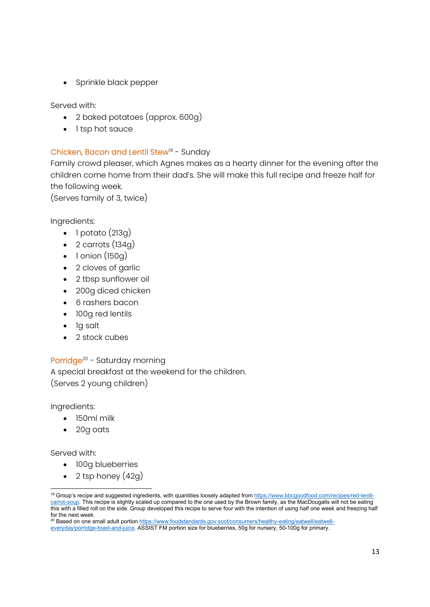• Sprinkle black pepper

Served with:

- 2 baked potatoes (approx. 600g)
- 1 tsp hot sauce

### Chicken, Bacon and Lentil Stew<sup>19</sup> - Sunday

Family crowd pleaser, which Agnes makes as a hearty dinner for the evening after the children come home from their dad's. She will make this full recipe and freeze half for the following week.

(Serves family of 3, twice)

Ingredients:

- $\bullet$  1 potato (213g)
- $\bullet$  2 carrots (134g)
- $\bullet$  1 onion (150g)
- 2 cloves of garlic
- 2 tbsp sunflower oil
- 200g diced chicken
- 6 rashers bacon
- 100g red lentils
- 1g salt
- 2 stock cubes

Porridge<sup>20</sup> - Saturday morning A special breakfast at the weekend for the children. (Serves 2 young children)

Ingredients:

- 150ml milk
- 20g oats

Served with:

- 100g blueberries
- $\bullet$  2 tsp honey (42g)

<sup>20</sup> Based on one small adult portion https://www.foodstandards.gov.scot/consumers/healthy-eating/eatwell/eatwelleveryday/porridge-toast-and-juice. ASSIST FM portion size for blueberries, 50g for nursery, 50-100g for primary.

<sup>&</sup>lt;sup>19</sup> Group's recipe and suggested ingredients, with quantities loosely adapted from https://www.bbcgoodfood.com/recipes/red-lentilcarrot-soup. This recipe is slightly scaled up compared to the one used by the Brown family, as the MacDougalls will not be eating this with a filled roll on the side. Group developed this recipe to serve four with the intention of using half one week and freezing half for the next week.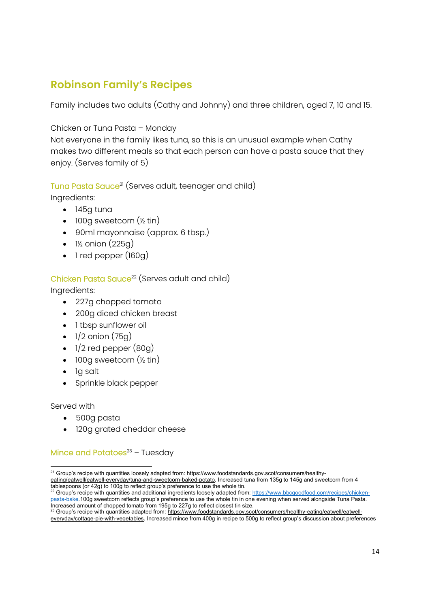# **Robinson Family's Recipes**

Family includes two adults (Cathy and Johnny) and three children, aged 7, 10 and 15.

### Chicken or Tuna Pasta – Monday

Not everyone in the family likes tuna, so this is an unusual example when Cathy makes two different meals so that each person can have a pasta sauce that they enjoy. (Serves family of 5)

Tuna Pasta Sauce<sup>21</sup> (Serves adult, teenager and child)

Ingredients:

- $145a$  tuna
- $\bullet$  100g sweetcorn  $(\frac{1}{2} \text{tin})$
- 90ml mayonnaise (approx. 6 tbsp.)
- $\bullet$  1½ onion (225g)
- 1 red pepper (160g)

## Chicken Pasta Sauce<sup>22</sup> (Serves adult and child)

Ingredients:

- 227g chopped tomato
- 200g diced chicken breast
- 1 tbsp sunflower oil
- $\bullet$  1/2 onion (75g)
- $\bullet$  1/2 red pepper  $(80q)$
- $\bullet$  100g sweetcorn  $(\frac{1}{2} \text{tin})$
- la salt
- Sprinkle black pepper

Served with

- 500g pasta
- 120g grated cheddar cheese

## Mince and Potatoes $23 -$  Tuesday

<sup>&</sup>lt;sup>21</sup> Group's recipe with quantities loosely adapted from: https://www.foodstandards.gov.scot/consumers/healthy-

eating/eatwell/eatwell-everyday/tuna-and-sweetcorn-baked-potato. Increased tuna from 135g to 145g and sweetcorn from 4 tablespoons (or 42g) to 100g to reflect group's preference to use the whole tin.

<sup>22</sup> Group's recipe with quantities and additional ingredients loosely adapted from: https://www.bbcgoodfood.com/recipes/chickenpasta-bake.100g sweetcorn reflects group's preference to use the whole tin in one evening when served alongside Tuna Pasta. Increased amount of chopped tomato from 195g to 227g to reflect closest tin size.

<sup>&</sup>lt;sup>23</sup> Group's recipe with quantities adapted from: https://www.foodstandards.gov.scot/consumers/healthy-eating/eatwell/eatwelleveryday/cottage-pie-with-vegetables. Increased mince from 400g in recipe to 500g to reflect group's discussion about preferences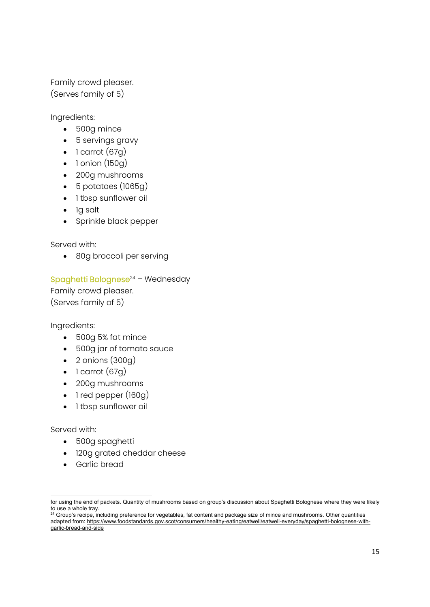Family crowd pleaser. (Serves family of 5)

Ingredients:

- 500g mince
- 5 servings gravy
- $\bullet$  1 carrot (67g)
- $\bullet$  1 onion (150g)
- 200g mushrooms
- 5 potatoes (1065g)
- 1 tbsp sunflower oil
- la salt
- Sprinkle black pepper

Served with:

• 80g broccoli per serving

Spaghetti Bolognese $24$  – Wednesday

Family crowd pleaser. (Serves family of 5)

Ingredients:

- 500g 5% fat mince
- 500g jar of tomato sauce
- $\bullet$  2 onions  $(300g)$
- $\bullet$  1 carrot (67g)
- 200g mushrooms
- 1 red pepper (160g)
- 1 tbsp sunflower oil

- 500g spaghetti
- 120g grated cheddar cheese
- Garlic bread

for using the end of packets. Quantity of mushrooms based on group's discussion about Spaghetti Bolognese where they were likely to use a whole tray.

 $^{24}$  Group's recipe, including preference for vegetables, fat content and package size of mince and mushrooms. Other quantities adapted from: https://www.foodstandards.gov.scot/consumers/healthy-eating/eatwell/eatwell-everyday/spaghetti-bolognese-withgarlic-bread-and-side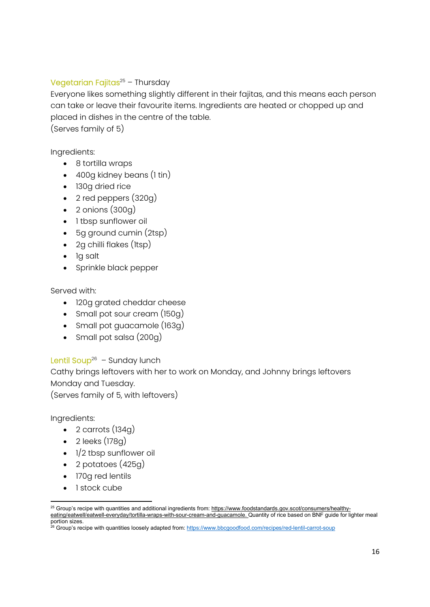### Vegetarian Fajitas $25 -$ Thursday

Everyone likes something slightly different in their fajitas, and this means each person can take or leave their favourite items. Ingredients are heated or chopped up and placed in dishes in the centre of the table.

(Serves family of 5)

Ingredients:

- 8 tortilla wraps
- 400g kidney beans (1 tin)
- 130q dried rice
- $\bullet$  2 red peppers  $(320g)$
- $\bullet$  2 onions (300g)
- 1 tbsp sunflower oil
- 5g ground cumin (2tsp)
- 2g chilli flakes (1tsp)
- 1g salt
- Sprinkle black pepper

Served with:

- 120g grated cheddar cheese
- Small pot sour cream (150g)
- Small pot guacamole (163g)
- Small pot salsa (200g)

### Lentil Soup<sup>26</sup> – Sunday lunch

Cathy brings leftovers with her to work on Monday, and Johnny brings leftovers Monday and Tuesday.

(Serves family of 5, with leftovers)

Ingredients:

- $\bullet$  2 carrots (134g)
- $\bullet$  2 leeks (178g)
- $\bullet$  1/2 tbsp sunflower oil
- 2 potatoes (425g)
- 170g red lentils
- 1 stock cube

<sup>&</sup>lt;sup>25</sup> Group's recipe with quantities and additional ingredients from: https://www.foodstandards.gov.scot/consumers/healthyeating/eatwell/eatwell-everyday/tortilla-wraps-with-sour-cream-and-guacamole. Quantity of rice based on BNF guide for lighter meal portion sizes.

<sup>&</sup>lt;sup>26</sup> Group's recipe with quantities loosely adapted from: https://www.bbcgoodfood.com/recipes/red-lentil-carrot-soup